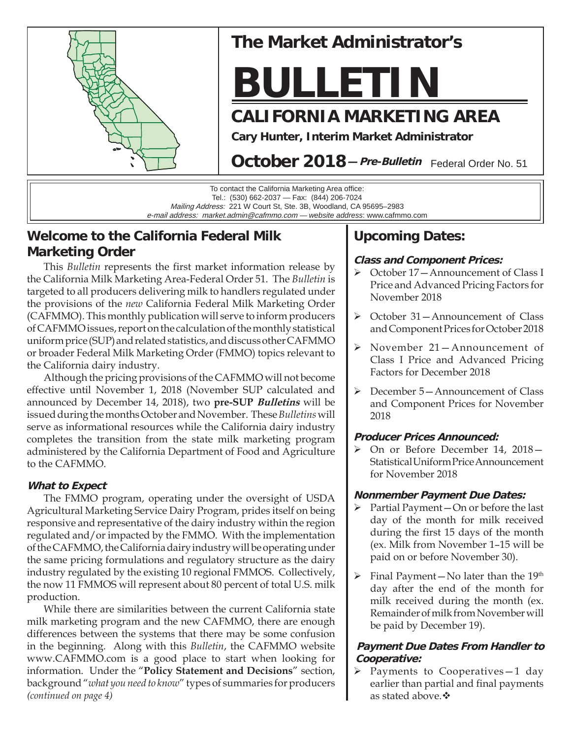

# **The Market Administrator's**

# **BULLETIN**

# **CALIFORNIA MARKETING AREA**

**Cary Hunter, Interim Market Administrator**

October 2018 - Pre-Bulletin Federal Order No. 51

To contact the California Marketing Area office: Tel.: (530) 662-2037 — Fax: (844) 206-7024 Mailing Address: 221 W Court St, Ste. 3B, Woodland, CA 95695–2983 e-mail address: market.admin@cafmmo.com — *website address*: www.cafmmo.com

# **Welcome to the California Federal Milk Marketing Order**

This *Bulletin* represents the first market information release by the California Milk Marketing Area-Federal Order 51. The *Bulletin* is targeted to all producers delivering milk to handlers regulated under the provisions of the *new* California Federal Milk Marketing Order (CAFMMO). This monthly publication will serve to inform producers of CAFMMO issues, report on the calculation of the monthly statistical uniform price (SUP) and related statistics, and discuss other CAFMMO or broader Federal Milk Marketing Order (FMMO) topics relevant to the California dairy industry.

Although the pricing provisions of the CAFMMO will not become effective until November 1, 2018 (November SUP calculated and announced by December 14, 2018), two **pre-SUP Bulletins** will be issued during the months October and November. These *Bulletins* will serve as informational resources while the California dairy industry completes the transition from the state milk marketing program administered by the California Department of Food and Agriculture to the CAFMMO.

## **What to Expect**

The FMMO program, operating under the oversight of USDA Agricultural Marketing Service Dairy Program, prides itself on being responsive and representative of the dairy industry within the region regulated and/or impacted by the FMMO. With the implementation of the CAFMMO, the California dairy industry will be operating under the same pricing formulations and regulatory structure as the dairy industry regulated by the existing 10 regional FMMOS. Collectively, the now 11 FMMOS will represent about 80 percent of total U.S. milk production.

While there are similarities between the current California state milk marketing program and the new CAFMMO, there are enough differences between the systems that there may be some confusion in the beginning. Along with this *Bulletin*, the CAFMMO website www.CAFMMO.com is a good place to start when looking for information. Under the "**Policy Statement and Decisions**" section, background "*what you need to know*" types of summaries for producers *(continued on page 4)*

# **Upcoming Dates:**

## **Class and Component Prices:**

- October 17—Announcement of Class I Price and Advanced Pricing Factors for November 2018
- October 31—Announcement of Class and Component Prices for October 2018
- November 21—Announcement of Class I Price and Advanced Pricing Factors for December 2018
- December 5—Announcement of Class and Component Prices for November 2018

### **Producer Prices Announced:**

 On or Before December 14, 2018— Statistical Uniform Price Announcement for November 2018

#### **Nonmember Payment Due Dates:**

- $\triangleright$  Partial Payment On or before the last day of the month for milk received during the first 15 days of the month (ex. Milk from November 1–15 will be paid on or before November 30).
- $\triangleright$  Final Payment No later than the 19<sup>th</sup> day after the end of the month for milk received during the month (ex. Remainder of milk from November will be paid by December 19).

### **Payment Due Dates From Handler to Cooperative:**

 $\triangleright$  Payments to Cooperatives-1 day earlier than partial and final payments as stated above. $\clubsuit$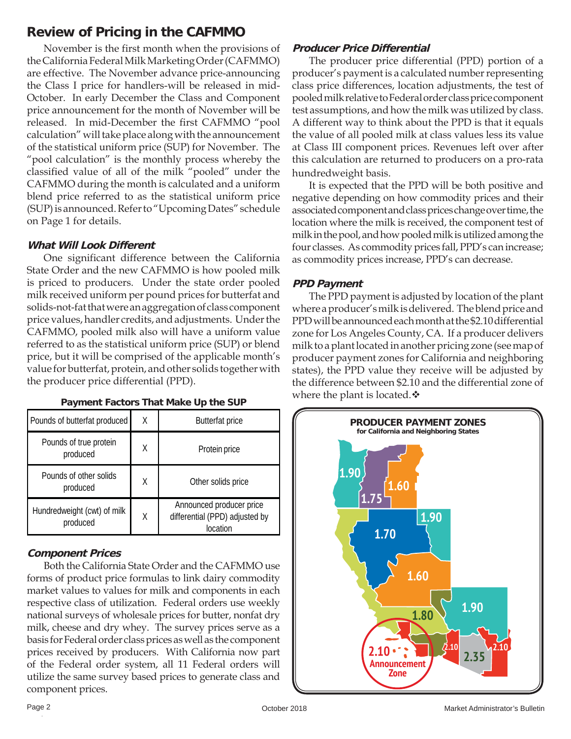# **Review of Pricing in the CAFMMO**

November is the first month when the provisions of the California Federal Milk Marketing Order (CAFMMO) are effective. The November advance price-announcing the Class I price for handlers-will be released in mid-October. In early December the Class and Component price announcement for the month of November will be released. In mid-December the first CAFMMO "pool calculation" will take place along with the announcement of the statistical uniform price (SUP) for November. The "pool calculation" is the monthly process whereby the classified value of all of the milk "pooled" under the CAFMMO during the month is calculated and a uniform blend price referred to as the statistical uniform price (SUP) is announced. Refer to "Upcoming Dates" schedule on Page 1 for details.

### **What Will Look Different**

One significant difference between the California State Order and the new CAFMMO is how pooled milk is priced to producers. Under the state order pooled milk received uniform per pound prices for butterfat and solids-not-fat that were an aggregation of class component price values, handler credits, and adjustments. Under the CAFMMO, pooled milk also will have a uniform value referred to as the statistical uniform price (SUP) or blend price, but it will be comprised of the applicable month's value for butterfat, protein, and other solids together with the producer price differential (PPD).

| Pounds of butterfat produced            | χ | <b>Butterfat price</b>                                                 |  |
|-----------------------------------------|---|------------------------------------------------------------------------|--|
| Pounds of true protein<br>produced      | X | Protein price                                                          |  |
| Pounds of other solids<br>produced      | Χ | Other solids price                                                     |  |
| Hundredweight (cwt) of milk<br>produced | Χ | Announced producer price<br>differential (PPD) adjusted by<br>location |  |

#### **Payment Factors That Make Up the SUP**

# **Component Prices**

Both the California State Order and the CAFMMO use forms of product price formulas to link dairy commodity market values to values for milk and components in each respective class of utilization. Federal orders use weekly national surveys of wholesale prices for butter, nonfat dry milk, cheese and dry whey. The survey prices serve as a basis for Federal order class prices as well as the component prices received by producers. With California now part of the Federal order system, all 11 Federal orders will utilize the same survey based prices to generate class and component prices.

# **Producer Price Differential**

The producer price differential (PPD) portion of a producer's payment is a calculated number representing class price differences, location adjustments, the test of pooled milk relative to Federal order class price component test assumptions, and how the milk was utilized by class. A different way to think about the PPD is that it equals the value of all pooled milk at class values less its value at Class III component prices. Revenues left over after this calculation are returned to producers on a pro-rata hundredweight basis.

It is expected that the PPD will be both positive and negative depending on how commodity prices and their associated component and class prices change over time, the location where the milk is received, the component test of milk in the pool, and how pooled milk is utilized among the four classes. As commodity prices fall, PPD's can increase; as commodity prices increase, PPD's can decrease.

## **PPD Payment**

The PPD payment is adjusted by location of the plant where a producer's milk is delivered. The blend price and PPD will be announced each month at the \$2.10 differential zone for Los Angeles County, CA. If a producer delivers milk to a plant located in another pricing zone (see map of producer payment zones for California and neighboring states), the PPD value they receive will be adjusted by the difference between \$2.10 and the differential zone of where the plant is located. $\triangle$ 

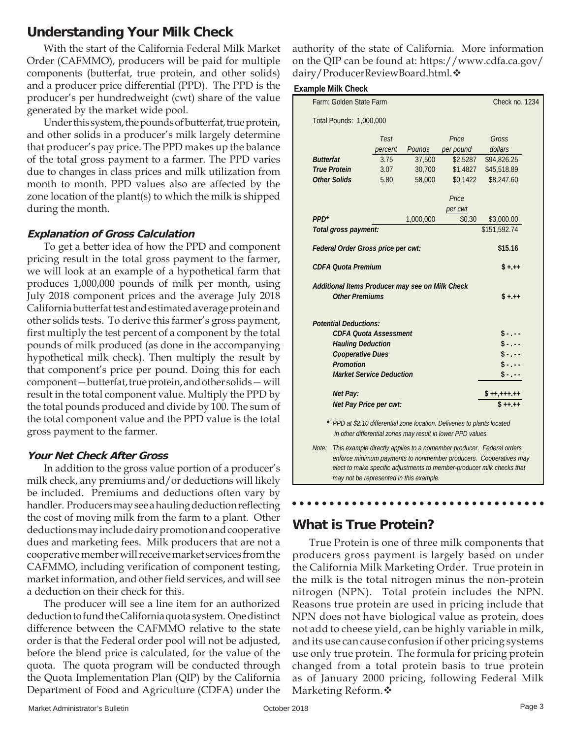# **Understanding Your Milk Check**

With the start of the California Federal Milk Market Order (CAFMMO), producers will be paid for multiple components (butterfat, true protein, and other solids) and a producer price differential (PPD). The PPD is the producer's per hundredweight (cwt) share of the value generated by the market wide pool.

Under this system, the pounds of butterfat, true protein, and other solids in a producer's milk largely determine that producer's pay price. The PPD makes up the balance of the total gross payment to a farmer. The PPD varies due to changes in class prices and milk utilization from month to month. PPD values also are affected by the zone location of the plant(s) to which the milk is shipped during the month.

#### **Explanation of Gross Calculation**

To get a better idea of how the PPD and component pricing result in the total gross payment to the farmer, we will look at an example of a hypothetical farm that produces 1,000,000 pounds of milk per month, using July 2018 component prices and the average July 2018 California butterfat test and estimated average protein and other solids tests. To derive this farmer's gross payment, first multiply the test percent of a component by the total pounds of milk produced (as done in the accompanying hypothetical milk check). Then multiply the result by that component's price per pound. Doing this for each component—butterfat, true protein, and other solids— will result in the total component value. Multiply the PPD by the total pounds produced and divide by 100. The sum of the total component value and the PPD value is the total gross payment to the farmer.

#### **Your Net Check After Gross**

In addition to the gross value portion of a producer's milk check, any premiums and/or deductions will likely be included. Premiums and deductions often vary by handler. Producers may see a hauling deduction reflecting the cost of moving milk from the farm to a plant. Other deductions may include dairy promotion and cooperative dues and marketing fees. Milk producers that are not a cooperative member will receive market services from the CAFMMO, including verification of component testing, market information, and other field services, and will see a deduction on their check for this.

The producer will see a line item for an authorized deduction to fund the California quota system. One distinct difference between the CAFMMO relative to the state order is that the Federal order pool will not be adjusted, before the blend price is calculated, for the value of the quota. The quota program will be conducted through the Quota Implementation Plan (QIP) by the California Department of Food and Agriculture (CDFA) under the

authority of the state of California. More information on the QIP can be found at: https://www.cdfa.ca.gov/ dairy/ProducerReviewBoard.html.

#### **Example Milk Check**

| Farm: Golden State Farm                                                                                                                                                                                                      |                       |                        |                                                 |                                                                                                                                         | Check no. 1234 |  |
|------------------------------------------------------------------------------------------------------------------------------------------------------------------------------------------------------------------------------|-----------------------|------------------------|-------------------------------------------------|-----------------------------------------------------------------------------------------------------------------------------------------|----------------|--|
| Total Pounds: 1,000,000                                                                                                                                                                                                      |                       |                        |                                                 |                                                                                                                                         |                |  |
|                                                                                                                                                                                                                              |                       | Test                   |                                                 | Price                                                                                                                                   | Gross          |  |
|                                                                                                                                                                                                                              |                       | percent                | Pounds                                          | per pound                                                                                                                               | dollars        |  |
| <b>Butterfat</b>                                                                                                                                                                                                             |                       | 3.75                   | 37,500                                          | \$2.5287                                                                                                                                | \$94,826.25    |  |
| <b>True Protein</b>                                                                                                                                                                                                          |                       | 3.07                   | 30,700                                          | \$1,4827                                                                                                                                | \$45,518.89    |  |
| <b>Other Solids</b>                                                                                                                                                                                                          |                       | 5.80                   | 58,000                                          | \$0.1422                                                                                                                                | \$8,247.60     |  |
|                                                                                                                                                                                                                              |                       |                        |                                                 | Price                                                                                                                                   |                |  |
|                                                                                                                                                                                                                              |                       |                        |                                                 | per cwt                                                                                                                                 |                |  |
| PPD <sup>*</sup>                                                                                                                                                                                                             |                       |                        | 1,000,000                                       | \$0.30                                                                                                                                  | \$3,000.00     |  |
| Total gross payment:                                                                                                                                                                                                         |                       |                        |                                                 |                                                                                                                                         | \$151,592.74   |  |
| Federal Order Gross price per cwt:                                                                                                                                                                                           |                       |                        |                                                 |                                                                                                                                         | \$15.16        |  |
| <b>CDFA Quota Premium</b>                                                                                                                                                                                                    |                       |                        |                                                 |                                                                                                                                         | S +.++         |  |
|                                                                                                                                                                                                                              |                       |                        | Additional Items Producer may see on Milk Check |                                                                                                                                         |                |  |
|                                                                                                                                                                                                                              | <b>Other Premiums</b> |                        |                                                 |                                                                                                                                         | $$ + + +$      |  |
| <b>Potential Deductions:</b><br><b>CDFA Quota Assessment</b><br><b>Hauling Deduction</b><br><b>Cooperative Dues</b><br><b>Promotion</b><br><b>Market Service Deduction</b>                                                   |                       |                        |                                                 |                                                                                                                                         |                |  |
|                                                                                                                                                                                                                              | <b>Net Pay:</b>       |                        |                                                 |                                                                                                                                         |                |  |
|                                                                                                                                                                                                                              |                       | Net Pay Price per cwt: |                                                 |                                                                                                                                         | 5 ++.++        |  |
|                                                                                                                                                                                                                              |                       |                        |                                                 | * PPD at \$2.10 differential zone location. Deliveries to plants located<br>in other differential zones may result in lower PPD values. |                |  |
| Note:<br>This example directly applies to a nomember producer. Federal orders<br>enforce minimum payments to nonmember producers. Cooperatives may<br>elect to make specific adjustments to member-producer milk checks that |                       |                        |                                                 |                                                                                                                                         |                |  |

# **What is True Protein?**

*may not be represented in this example.*

True Protein is one of three milk components that producers gross payment is largely based on under the California Milk Marketing Order. True protein in the milk is the total nitrogen minus the non-protein nitrogen (NPN). Total protein includes the NPN. Reasons true protein are used in pricing include that NPN does not have biological value as protein, does not add to cheese yield, can be highly variable in milk, and its use can cause confusion if other pricing systems use only true protein. The formula for pricing protein changed from a total protein basis to true protein as of January 2000 pricing, following Federal Milk Marketing Reform.